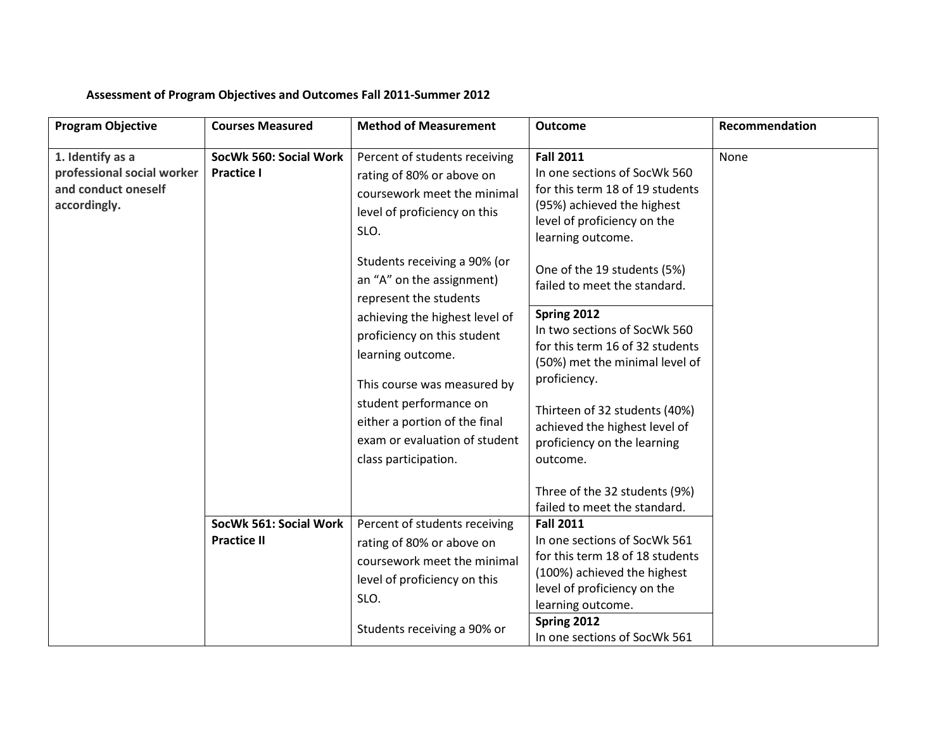## **Assessment of Program Objectives and Outcomes Fall 2011-Summer 2012**

| <b>Program Objective</b>                                                              | <b>Courses Measured</b>                      | <b>Method of Measurement</b>                                                                                                                                     | <b>Outcome</b>                                                                                                                                                                                                        | Recommendation |
|---------------------------------------------------------------------------------------|----------------------------------------------|------------------------------------------------------------------------------------------------------------------------------------------------------------------|-----------------------------------------------------------------------------------------------------------------------------------------------------------------------------------------------------------------------|----------------|
| 1. Identify as a<br>professional social worker<br>and conduct oneself<br>accordingly. | SocWk 560: Social Work<br><b>Practice I</b>  | Percent of students receiving<br>rating of 80% or above on<br>coursework meet the minimal<br>level of proficiency on this<br>SLO.                                | <b>Fall 2011</b><br>In one sections of SocWk 560<br>for this term 18 of 19 students<br>(95%) achieved the highest<br>level of proficiency on the<br>learning outcome.                                                 | None           |
|                                                                                       |                                              | Students receiving a 90% (or<br>an "A" on the assignment)<br>represent the students                                                                              | One of the 19 students (5%)<br>failed to meet the standard.                                                                                                                                                           |                |
|                                                                                       |                                              | achieving the highest level of<br>proficiency on this student<br>learning outcome.                                                                               | Spring 2012<br>In two sections of SocWk 560<br>for this term 16 of 32 students<br>(50%) met the minimal level of                                                                                                      |                |
|                                                                                       |                                              | This course was measured by<br>student performance on<br>either a portion of the final<br>exam or evaluation of student<br>class participation.                  | proficiency.<br>Thirteen of 32 students (40%)<br>achieved the highest level of<br>proficiency on the learning<br>outcome.                                                                                             |                |
|                                                                                       |                                              |                                                                                                                                                                  | Three of the 32 students (9%)<br>failed to meet the standard.                                                                                                                                                         |                |
|                                                                                       | SocWk 561: Social Work<br><b>Practice II</b> | Percent of students receiving<br>rating of 80% or above on<br>coursework meet the minimal<br>level of proficiency on this<br>SLO.<br>Students receiving a 90% or | <b>Fall 2011</b><br>In one sections of SocWk 561<br>for this term 18 of 18 students<br>(100%) achieved the highest<br>level of proficiency on the<br>learning outcome.<br>Spring 2012<br>In one sections of SocWk 561 |                |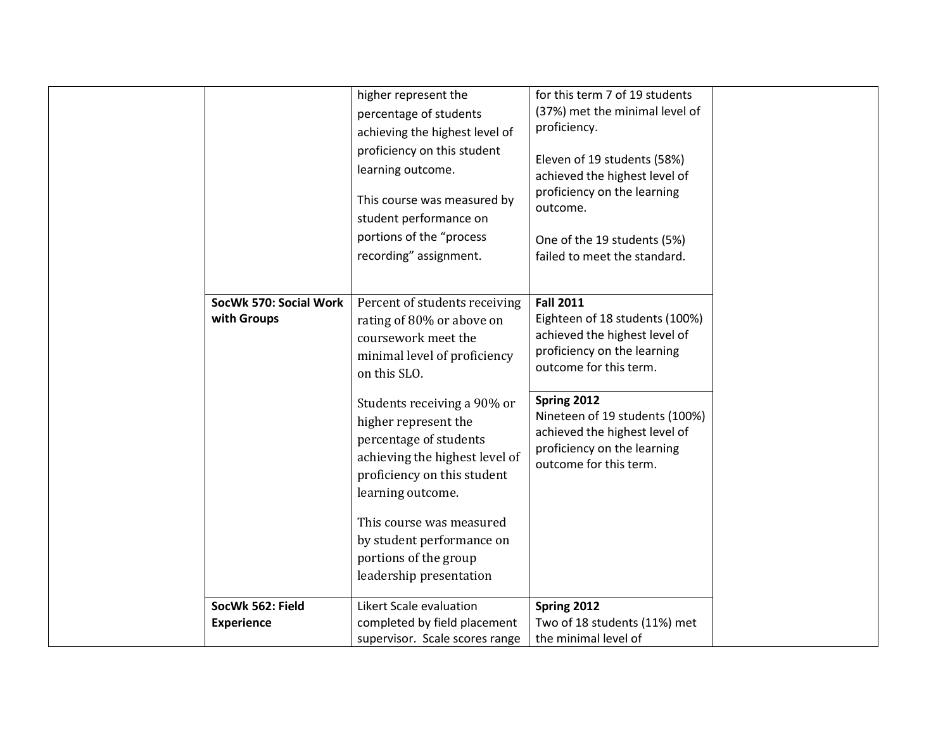|                                       | higher represent the<br>percentage of students<br>achieving the highest level of<br>proficiency on this student<br>learning outcome.<br>This course was measured by<br>student performance on<br>portions of the "process<br>recording" assignment.                                                                                                                                        | for this term 7 of 19 students<br>(37%) met the minimal level of<br>proficiency.<br>Eleven of 19 students (58%)<br>achieved the highest level of<br>proficiency on the learning<br>outcome.<br>One of the 19 students (5%)<br>failed to meet the standard.                              |  |
|---------------------------------------|--------------------------------------------------------------------------------------------------------------------------------------------------------------------------------------------------------------------------------------------------------------------------------------------------------------------------------------------------------------------------------------------|-----------------------------------------------------------------------------------------------------------------------------------------------------------------------------------------------------------------------------------------------------------------------------------------|--|
| SocWk 570: Social Work<br>with Groups | Percent of students receiving<br>rating of 80% or above on<br>coursework meet the<br>minimal level of proficiency<br>on this SLO.<br>Students receiving a 90% or<br>higher represent the<br>percentage of students<br>achieving the highest level of<br>proficiency on this student<br>learning outcome.<br>This course was measured<br>by student performance on<br>portions of the group | <b>Fall 2011</b><br>Eighteen of 18 students (100%)<br>achieved the highest level of<br>proficiency on the learning<br>outcome for this term.<br>Spring 2012<br>Nineteen of 19 students (100%)<br>achieved the highest level of<br>proficiency on the learning<br>outcome for this term. |  |
| SocWk 562: Field<br><b>Experience</b> | leadership presentation<br>Likert Scale evaluation<br>completed by field placement<br>supervisor. Scale scores range                                                                                                                                                                                                                                                                       | Spring 2012<br>Two of 18 students (11%) met<br>the minimal level of                                                                                                                                                                                                                     |  |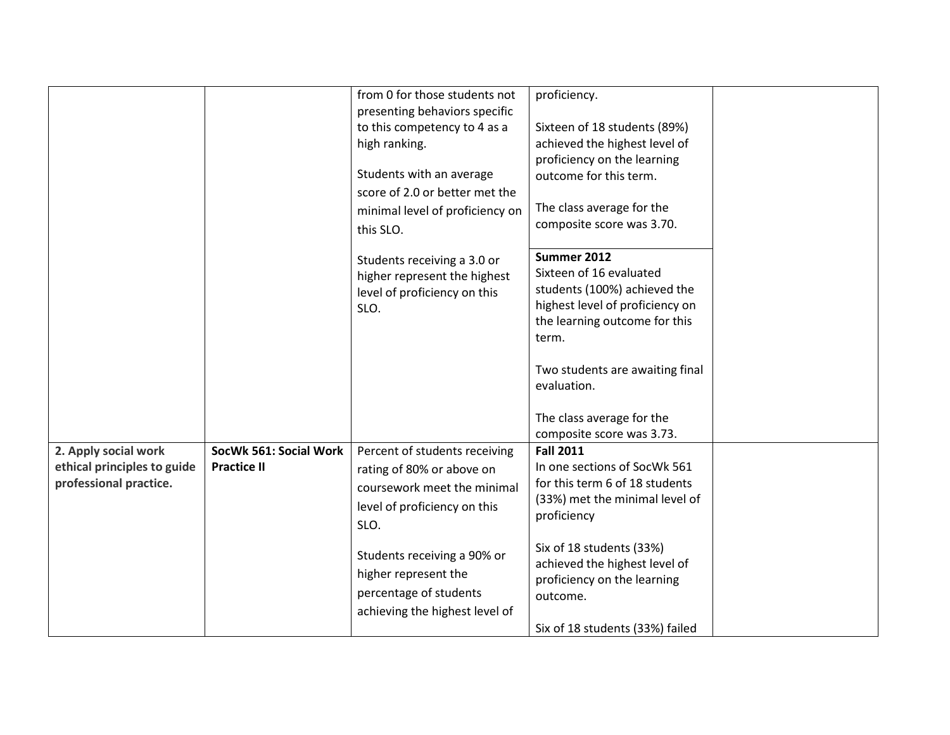|                                                                               |                                              | from 0 for those students not<br>presenting behaviors specific<br>to this competency to 4 as a<br>high ranking.<br>Students with an average<br>score of 2.0 or better met the<br>minimal level of proficiency on<br>this SLO.                        | proficiency.<br>Sixteen of 18 students (89%)<br>achieved the highest level of<br>proficiency on the learning<br>outcome for this term.<br>The class average for the<br>composite score was 3.70.                                                                               |  |
|-------------------------------------------------------------------------------|----------------------------------------------|------------------------------------------------------------------------------------------------------------------------------------------------------------------------------------------------------------------------------------------------------|--------------------------------------------------------------------------------------------------------------------------------------------------------------------------------------------------------------------------------------------------------------------------------|--|
|                                                                               |                                              | Students receiving a 3.0 or<br>higher represent the highest<br>level of proficiency on this<br>SLO.                                                                                                                                                  | Summer 2012<br>Sixteen of 16 evaluated<br>students (100%) achieved the<br>highest level of proficiency on<br>the learning outcome for this<br>term.<br>Two students are awaiting final<br>evaluation.<br>The class average for the<br>composite score was 3.73.                |  |
| 2. Apply social work<br>ethical principles to guide<br>professional practice. | SocWk 561: Social Work<br><b>Practice II</b> | Percent of students receiving<br>rating of 80% or above on<br>coursework meet the minimal<br>level of proficiency on this<br>SLO.<br>Students receiving a 90% or<br>higher represent the<br>percentage of students<br>achieving the highest level of | <b>Fall 2011</b><br>In one sections of SocWk 561<br>for this term 6 of 18 students<br>(33%) met the minimal level of<br>proficiency<br>Six of 18 students (33%)<br>achieved the highest level of<br>proficiency on the learning<br>outcome.<br>Six of 18 students (33%) failed |  |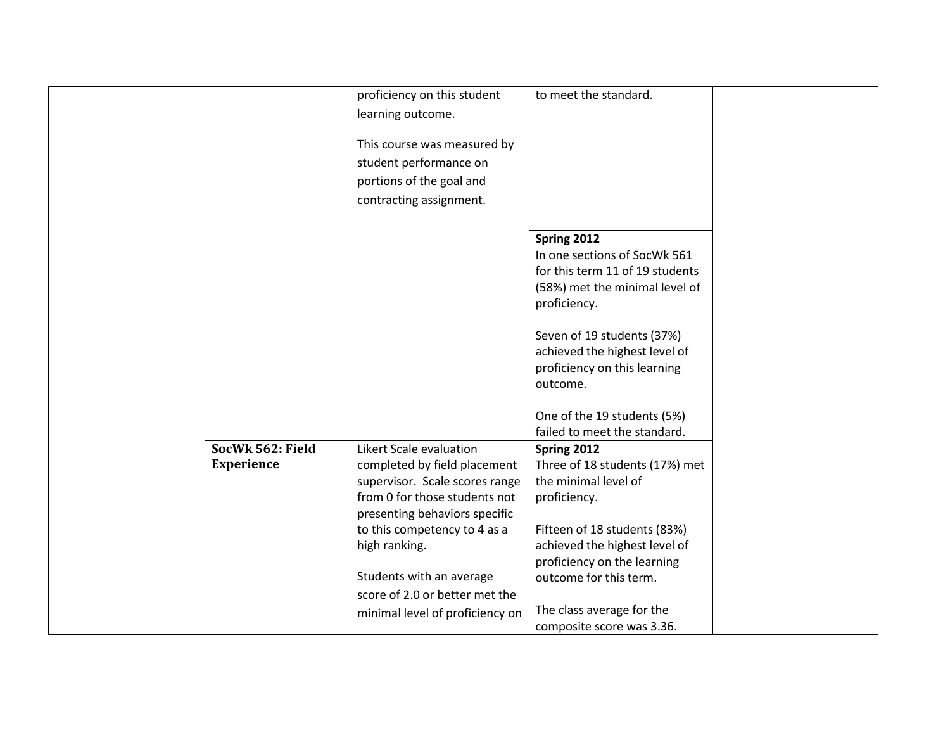|                   | proficiency on this student     | to meet the standard.           |  |
|-------------------|---------------------------------|---------------------------------|--|
|                   |                                 |                                 |  |
|                   | learning outcome.               |                                 |  |
|                   | This course was measured by     |                                 |  |
|                   | student performance on          |                                 |  |
|                   | portions of the goal and        |                                 |  |
|                   | contracting assignment.         |                                 |  |
|                   |                                 |                                 |  |
|                   |                                 | Spring 2012                     |  |
|                   |                                 | In one sections of SocWk 561    |  |
|                   |                                 | for this term 11 of 19 students |  |
|                   |                                 | (58%) met the minimal level of  |  |
|                   |                                 | proficiency.                    |  |
|                   |                                 |                                 |  |
|                   |                                 | Seven of 19 students (37%)      |  |
|                   |                                 | achieved the highest level of   |  |
|                   |                                 | proficiency on this learning    |  |
|                   |                                 | outcome.                        |  |
|                   |                                 |                                 |  |
|                   |                                 | One of the 19 students (5%)     |  |
|                   |                                 | failed to meet the standard.    |  |
| SocWk 562: Field  | Likert Scale evaluation         | Spring 2012                     |  |
| <b>Experience</b> | completed by field placement    | Three of 18 students (17%) met  |  |
|                   | supervisor. Scale scores range  | the minimal level of            |  |
|                   | from 0 for those students not   | proficiency.                    |  |
|                   | presenting behaviors specific   |                                 |  |
|                   | to this competency to 4 as a    | Fifteen of 18 students (83%)    |  |
|                   | high ranking.                   | achieved the highest level of   |  |
|                   |                                 | proficiency on the learning     |  |
|                   | Students with an average        | outcome for this term.          |  |
|                   | score of 2.0 or better met the  |                                 |  |
|                   | minimal level of proficiency on | The class average for the       |  |
|                   |                                 | composite score was 3.36.       |  |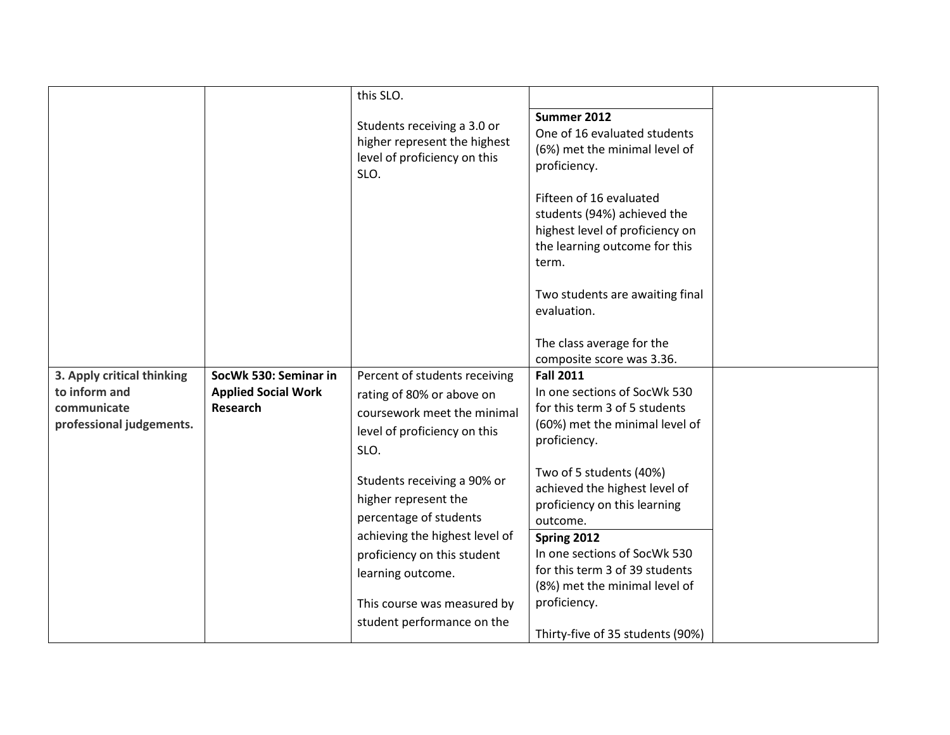|                                                                                        |                                                                 | this SLO.                                                                                                                                      |                                                                                                                                                     |  |
|----------------------------------------------------------------------------------------|-----------------------------------------------------------------|------------------------------------------------------------------------------------------------------------------------------------------------|-----------------------------------------------------------------------------------------------------------------------------------------------------|--|
|                                                                                        |                                                                 | Students receiving a 3.0 or<br>higher represent the highest<br>level of proficiency on this<br>SLO.                                            | Summer 2012<br>One of 16 evaluated students<br>(6%) met the minimal level of<br>proficiency.                                                        |  |
|                                                                                        |                                                                 |                                                                                                                                                | Fifteen of 16 evaluated<br>students (94%) achieved the<br>highest level of proficiency on<br>the learning outcome for this<br>term.                 |  |
|                                                                                        |                                                                 |                                                                                                                                                | Two students are awaiting final<br>evaluation.                                                                                                      |  |
|                                                                                        |                                                                 |                                                                                                                                                | The class average for the<br>composite score was 3.36.                                                                                              |  |
| 3. Apply critical thinking<br>to inform and<br>communicate<br>professional judgements. | SocWk 530: Seminar in<br><b>Applied Social Work</b><br>Research | Percent of students receiving<br>rating of 80% or above on<br>coursework meet the minimal<br>level of proficiency on this<br>SLO.              | <b>Fall 2011</b><br>In one sections of SocWk 530<br>for this term 3 of 5 students<br>(60%) met the minimal level of<br>proficiency.                 |  |
|                                                                                        |                                                                 | Students receiving a 90% or<br>higher represent the<br>percentage of students<br>achieving the highest level of<br>proficiency on this student | Two of 5 students (40%)<br>achieved the highest level of<br>proficiency on this learning<br>outcome.<br>Spring 2012<br>In one sections of SocWk 530 |  |
|                                                                                        |                                                                 | learning outcome.<br>This course was measured by<br>student performance on the                                                                 | for this term 3 of 39 students<br>(8%) met the minimal level of<br>proficiency.                                                                     |  |
|                                                                                        |                                                                 |                                                                                                                                                | Thirty-five of 35 students (90%)                                                                                                                    |  |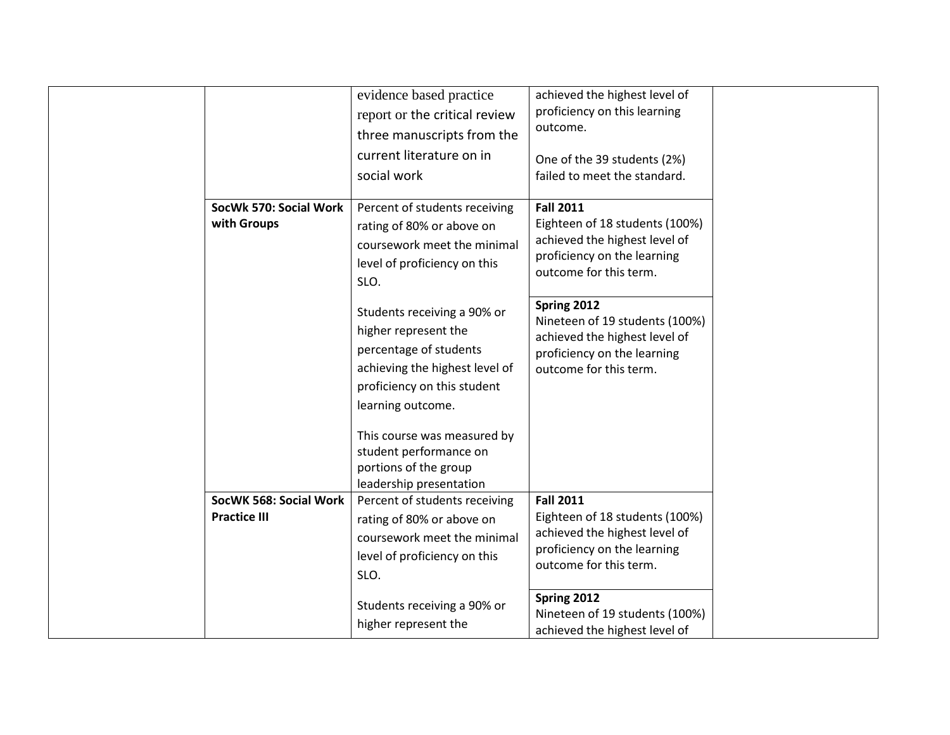|                        | evidence based practice        | achieved the highest level of                                |  |
|------------------------|--------------------------------|--------------------------------------------------------------|--|
|                        | report or the critical review  | proficiency on this learning                                 |  |
|                        | three manuscripts from the     | outcome.                                                     |  |
|                        | current literature on in       | One of the 39 students (2%)                                  |  |
|                        | social work                    | failed to meet the standard.                                 |  |
| SocWk 570: Social Work | Percent of students receiving  | <b>Fall 2011</b>                                             |  |
| with Groups            |                                | Eighteen of 18 students (100%)                               |  |
|                        | rating of 80% or above on      | achieved the highest level of                                |  |
|                        | coursework meet the minimal    | proficiency on the learning                                  |  |
|                        | level of proficiency on this   | outcome for this term.                                       |  |
|                        | SLO.                           |                                                              |  |
|                        | Students receiving a 90% or    | Spring 2012                                                  |  |
|                        | higher represent the           | Nineteen of 19 students (100%)                               |  |
|                        | percentage of students         | achieved the highest level of                                |  |
|                        | achieving the highest level of | proficiency on the learning                                  |  |
|                        |                                | outcome for this term.                                       |  |
|                        | proficiency on this student    |                                                              |  |
|                        | learning outcome.              |                                                              |  |
|                        | This course was measured by    |                                                              |  |
|                        | student performance on         |                                                              |  |
|                        | portions of the group          |                                                              |  |
|                        | leadership presentation        |                                                              |  |
| SocWK 568: Social Work | Percent of students receiving  | <b>Fall 2011</b>                                             |  |
| <b>Practice III</b>    | rating of 80% or above on      | Eighteen of 18 students (100%)                               |  |
|                        | coursework meet the minimal    | achieved the highest level of<br>proficiency on the learning |  |
|                        | level of proficiency on this   | outcome for this term.                                       |  |
|                        | SLO.                           |                                                              |  |
|                        |                                | Spring 2012                                                  |  |
|                        | Students receiving a 90% or    | Nineteen of 19 students (100%)                               |  |
|                        | higher represent the           | achieved the highest level of                                |  |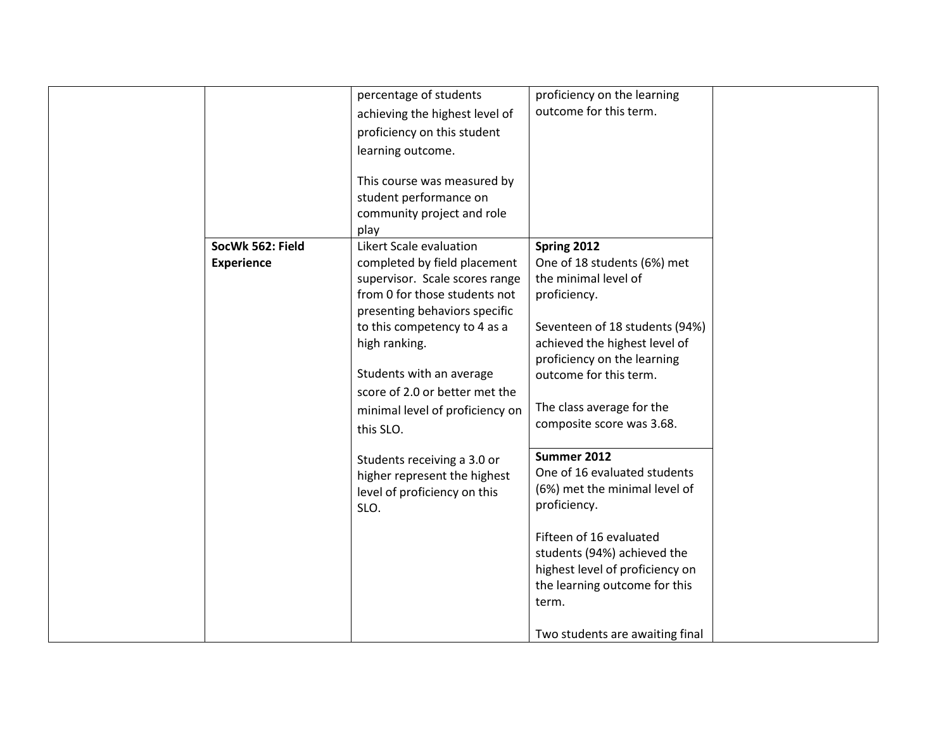|                   | percentage of students          | proficiency on the learning<br>outcome for this term. |  |
|-------------------|---------------------------------|-------------------------------------------------------|--|
|                   | achieving the highest level of  |                                                       |  |
|                   | proficiency on this student     |                                                       |  |
|                   | learning outcome.               |                                                       |  |
|                   |                                 |                                                       |  |
|                   | This course was measured by     |                                                       |  |
|                   | student performance on          |                                                       |  |
|                   | community project and role      |                                                       |  |
|                   | play                            |                                                       |  |
| SocWk 562: Field  | Likert Scale evaluation         | Spring 2012                                           |  |
| <b>Experience</b> | completed by field placement    | One of 18 students (6%) met                           |  |
|                   | supervisor. Scale scores range  | the minimal level of                                  |  |
|                   | from 0 for those students not   | proficiency.                                          |  |
|                   | presenting behaviors specific   |                                                       |  |
|                   | to this competency to 4 as a    | Seventeen of 18 students (94%)                        |  |
|                   | high ranking.                   | achieved the highest level of                         |  |
|                   |                                 | proficiency on the learning                           |  |
|                   | Students with an average        | outcome for this term.                                |  |
|                   | score of 2.0 or better met the  |                                                       |  |
|                   | minimal level of proficiency on | The class average for the                             |  |
|                   | this SLO.                       | composite score was 3.68.                             |  |
|                   |                                 |                                                       |  |
|                   | Students receiving a 3.0 or     | Summer 2012                                           |  |
|                   | higher represent the highest    | One of 16 evaluated students                          |  |
|                   | level of proficiency on this    | (6%) met the minimal level of                         |  |
|                   | SLO.                            | proficiency.                                          |  |
|                   |                                 |                                                       |  |
|                   |                                 | Fifteen of 16 evaluated                               |  |
|                   |                                 | students (94%) achieved the                           |  |
|                   |                                 | highest level of proficiency on                       |  |
|                   |                                 | the learning outcome for this                         |  |
|                   |                                 | term.                                                 |  |
|                   |                                 |                                                       |  |
|                   |                                 | Two students are awaiting final                       |  |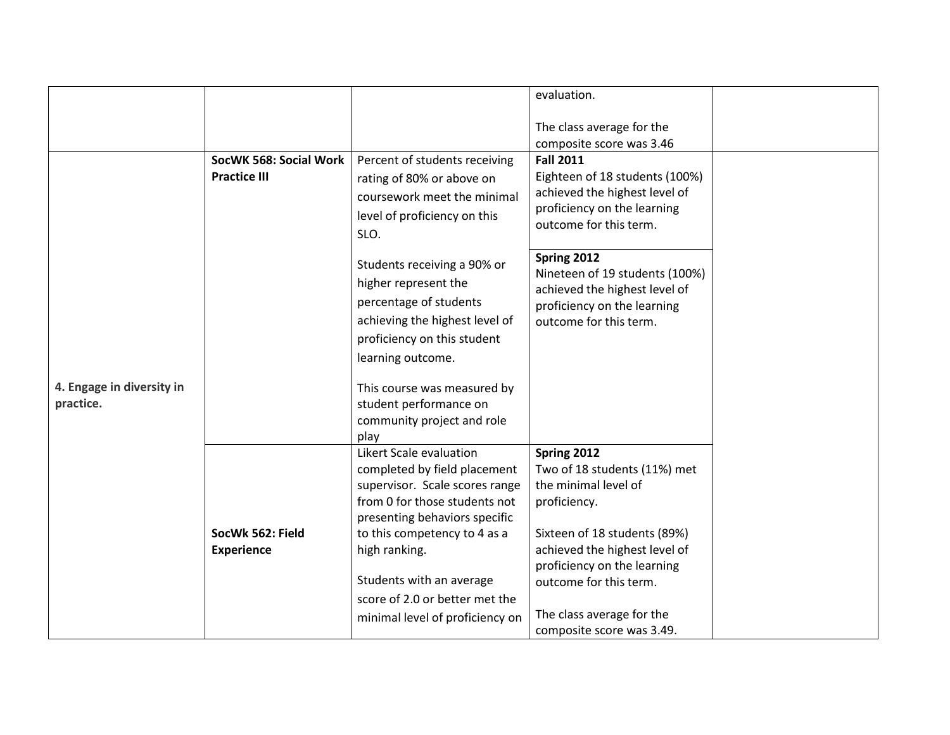|                                        |                                       |                                                                                                                                                                                                                                                                            | evaluation.                                                                                                                                                                                                   |  |
|----------------------------------------|---------------------------------------|----------------------------------------------------------------------------------------------------------------------------------------------------------------------------------------------------------------------------------------------------------------------------|---------------------------------------------------------------------------------------------------------------------------------------------------------------------------------------------------------------|--|
|                                        |                                       |                                                                                                                                                                                                                                                                            | The class average for the                                                                                                                                                                                     |  |
|                                        |                                       |                                                                                                                                                                                                                                                                            | composite score was 3.46                                                                                                                                                                                      |  |
|                                        | SocWK 568: Social Work                | Percent of students receiving                                                                                                                                                                                                                                              | <b>Fall 2011</b>                                                                                                                                                                                              |  |
|                                        | <b>Practice III</b>                   | rating of 80% or above on<br>coursework meet the minimal<br>level of proficiency on this<br>SLO.                                                                                                                                                                           | Eighteen of 18 students (100%)<br>achieved the highest level of<br>proficiency on the learning<br>outcome for this term.                                                                                      |  |
|                                        |                                       | Students receiving a 90% or<br>higher represent the<br>percentage of students<br>achieving the highest level of<br>proficiency on this student<br>learning outcome.                                                                                                        | Spring 2012<br>Nineteen of 19 students (100%)<br>achieved the highest level of<br>proficiency on the learning<br>outcome for this term.                                                                       |  |
| 4. Engage in diversity in<br>practice. |                                       | This course was measured by<br>student performance on<br>community project and role<br>play                                                                                                                                                                                |                                                                                                                                                                                                               |  |
|                                        | SocWk 562: Field<br><b>Experience</b> | Likert Scale evaluation<br>completed by field placement<br>supervisor. Scale scores range<br>from 0 for those students not<br>presenting behaviors specific<br>to this competency to 4 as a<br>high ranking.<br>Students with an average<br>score of 2.0 or better met the | Spring 2012<br>Two of 18 students (11%) met<br>the minimal level of<br>proficiency.<br>Sixteen of 18 students (89%)<br>achieved the highest level of<br>proficiency on the learning<br>outcome for this term. |  |
|                                        |                                       | minimal level of proficiency on                                                                                                                                                                                                                                            | The class average for the<br>composite score was 3.49.                                                                                                                                                        |  |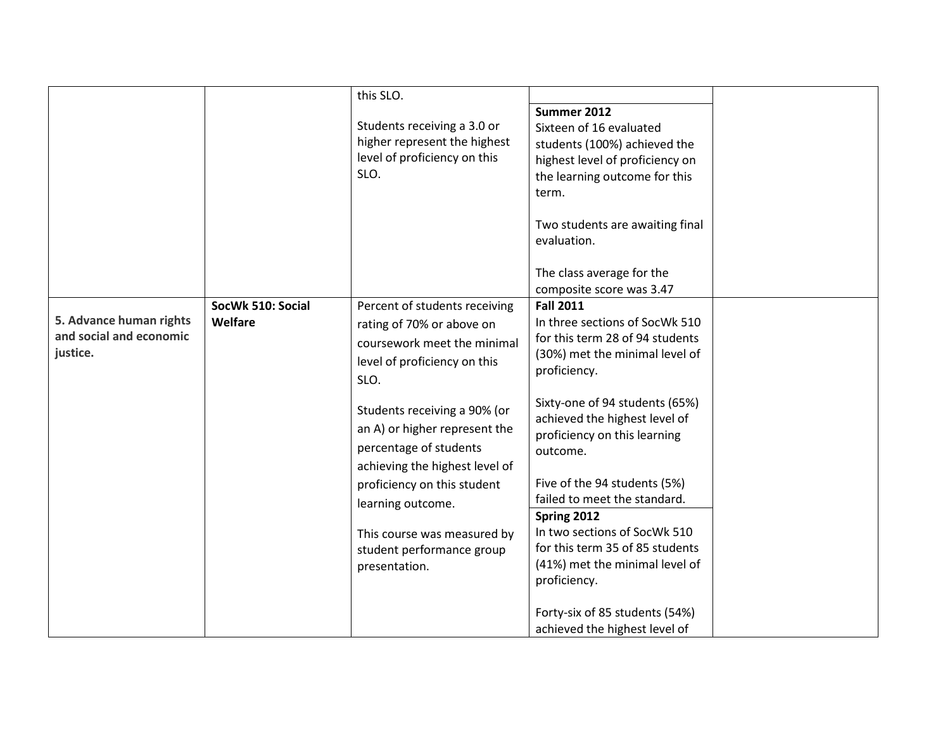|                                                                |                              | this SLO.<br>Students receiving a 3.0 or<br>higher represent the highest<br>level of proficiency on this<br>SLO.                                                                                                                          | Summer 2012<br>Sixteen of 16 evaluated<br>students (100%) achieved the<br>highest level of proficiency on<br>the learning outcome for this                                                                                                                    |  |
|----------------------------------------------------------------|------------------------------|-------------------------------------------------------------------------------------------------------------------------------------------------------------------------------------------------------------------------------------------|---------------------------------------------------------------------------------------------------------------------------------------------------------------------------------------------------------------------------------------------------------------|--|
|                                                                |                              |                                                                                                                                                                                                                                           | term.<br>Two students are awaiting final<br>evaluation.<br>The class average for the<br>composite score was 3.47                                                                                                                                              |  |
| 5. Advance human rights<br>and social and economic<br>justice. | SocWk 510: Social<br>Welfare | Percent of students receiving<br>rating of 70% or above on<br>coursework meet the minimal<br>level of proficiency on this<br>SLO.                                                                                                         | <b>Fall 2011</b><br>In three sections of SocWk 510<br>for this term 28 of 94 students<br>(30%) met the minimal level of<br>proficiency.                                                                                                                       |  |
|                                                                |                              | Students receiving a 90% (or<br>an A) or higher represent the<br>percentage of students<br>achieving the highest level of<br>proficiency on this student<br>learning outcome.<br>This course was measured by<br>student performance group | Sixty-one of 94 students (65%)<br>achieved the highest level of<br>proficiency on this learning<br>outcome.<br>Five of the 94 students (5%)<br>failed to meet the standard.<br>Spring 2012<br>In two sections of SocWk 510<br>for this term 35 of 85 students |  |
|                                                                |                              | presentation.                                                                                                                                                                                                                             | (41%) met the minimal level of<br>proficiency.<br>Forty-six of 85 students (54%)<br>achieved the highest level of                                                                                                                                             |  |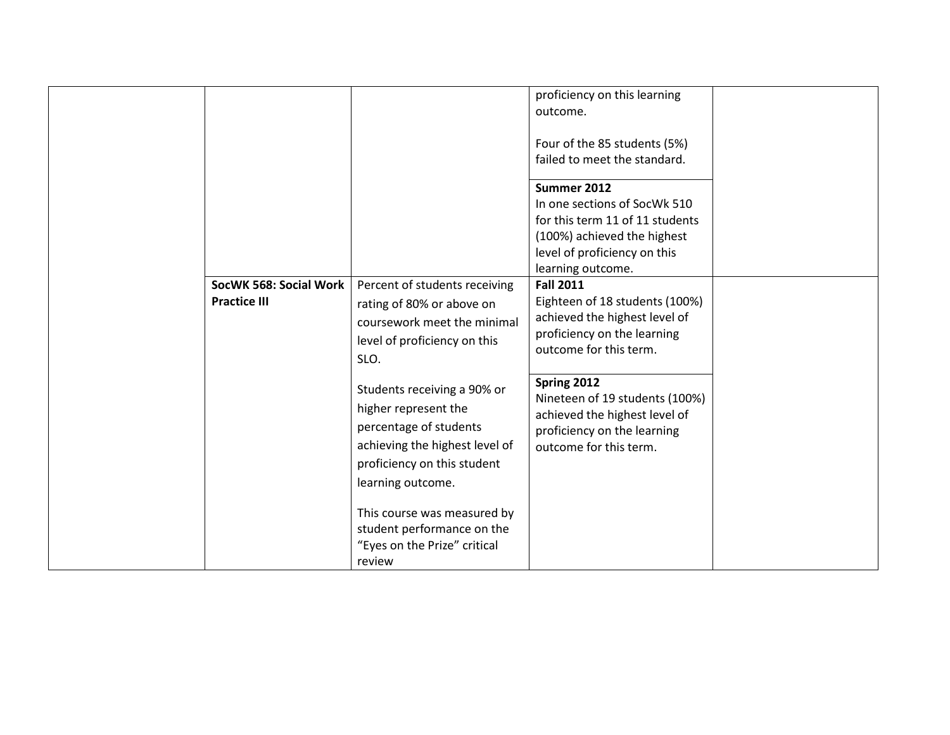|                        |                                | proficiency on this learning    |  |
|------------------------|--------------------------------|---------------------------------|--|
|                        |                                | outcome.                        |  |
|                        |                                |                                 |  |
|                        |                                | Four of the 85 students (5%)    |  |
|                        |                                | failed to meet the standard.    |  |
|                        |                                | Summer 2012                     |  |
|                        |                                | In one sections of SocWk 510    |  |
|                        |                                | for this term 11 of 11 students |  |
|                        |                                | (100%) achieved the highest     |  |
|                        |                                | level of proficiency on this    |  |
|                        |                                | learning outcome.               |  |
| SocWK 568: Social Work | Percent of students receiving  | <b>Fall 2011</b>                |  |
| <b>Practice III</b>    |                                | Eighteen of 18 students (100%)  |  |
|                        | rating of 80% or above on      | achieved the highest level of   |  |
|                        | coursework meet the minimal    | proficiency on the learning     |  |
|                        | level of proficiency on this   | outcome for this term.          |  |
|                        | SLO.                           |                                 |  |
|                        |                                | Spring 2012                     |  |
|                        | Students receiving a 90% or    | Nineteen of 19 students (100%)  |  |
|                        | higher represent the           | achieved the highest level of   |  |
|                        | percentage of students         | proficiency on the learning     |  |
|                        | achieving the highest level of | outcome for this term.          |  |
|                        | proficiency on this student    |                                 |  |
|                        | learning outcome.              |                                 |  |
|                        |                                |                                 |  |
|                        | This course was measured by    |                                 |  |
|                        | student performance on the     |                                 |  |
|                        | "Eyes on the Prize" critical   |                                 |  |
|                        | review                         |                                 |  |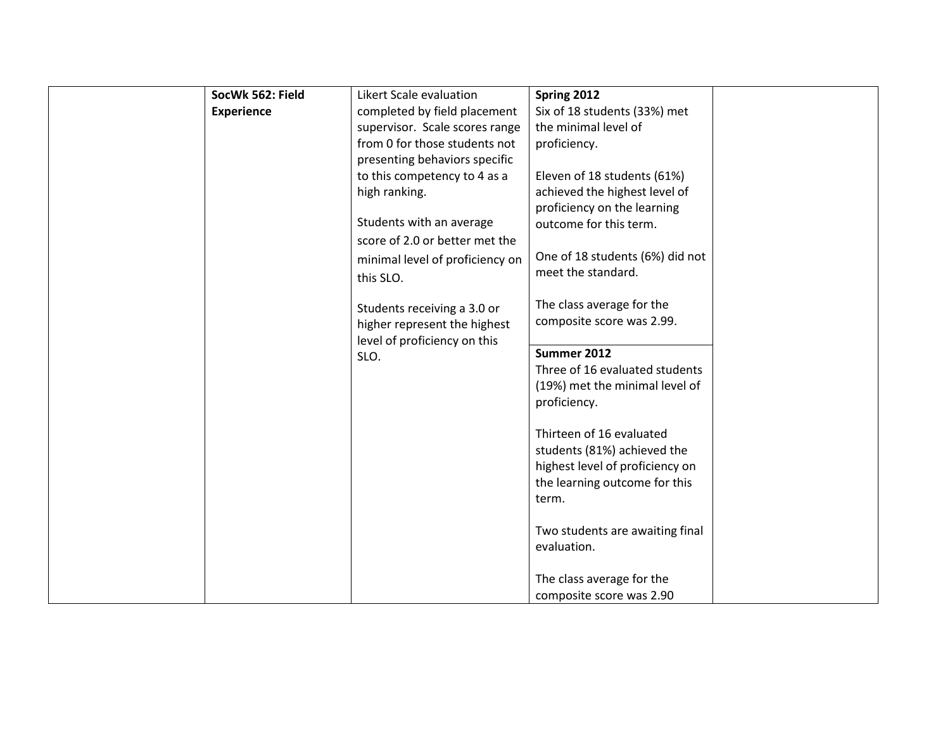| SocWk 562: Field  | Likert Scale evaluation         | Spring 2012                     |  |
|-------------------|---------------------------------|---------------------------------|--|
| <b>Experience</b> | completed by field placement    | Six of 18 students (33%) met    |  |
|                   | supervisor. Scale scores range  | the minimal level of            |  |
|                   | from 0 for those students not   | proficiency.                    |  |
|                   | presenting behaviors specific   |                                 |  |
|                   | to this competency to 4 as a    | Eleven of 18 students (61%)     |  |
|                   | high ranking.                   | achieved the highest level of   |  |
|                   |                                 | proficiency on the learning     |  |
|                   | Students with an average        | outcome for this term.          |  |
|                   | score of 2.0 or better met the  |                                 |  |
|                   | minimal level of proficiency on | One of 18 students (6%) did not |  |
|                   |                                 | meet the standard.              |  |
|                   | this SLO.                       |                                 |  |
|                   | Students receiving a 3.0 or     | The class average for the       |  |
|                   | higher represent the highest    | composite score was 2.99.       |  |
|                   | level of proficiency on this    |                                 |  |
|                   | SLO.                            | Summer 2012                     |  |
|                   |                                 | Three of 16 evaluated students  |  |
|                   |                                 | (19%) met the minimal level of  |  |
|                   |                                 | proficiency.                    |  |
|                   |                                 |                                 |  |
|                   |                                 | Thirteen of 16 evaluated        |  |
|                   |                                 | students (81%) achieved the     |  |
|                   |                                 | highest level of proficiency on |  |
|                   |                                 | the learning outcome for this   |  |
|                   |                                 | term.                           |  |
|                   |                                 |                                 |  |
|                   |                                 | Two students are awaiting final |  |
|                   |                                 | evaluation.                     |  |
|                   |                                 |                                 |  |
|                   |                                 | The class average for the       |  |
|                   |                                 | composite score was 2.90        |  |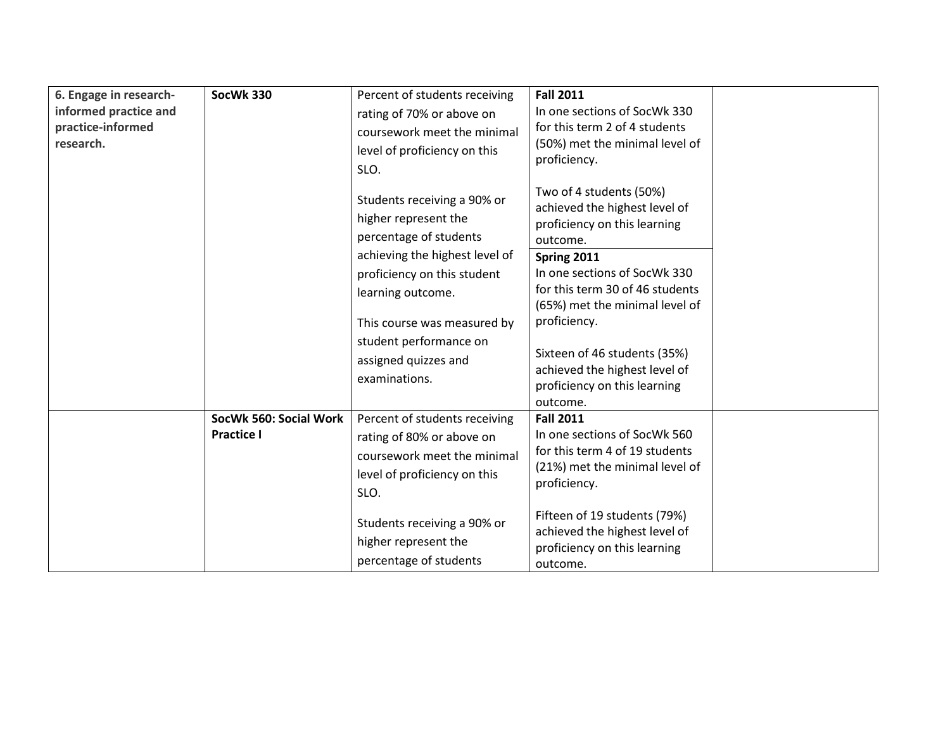| 6. Engage in research-<br>informed practice and<br>practice-informed<br>research. | SocWk 330                                   | Percent of students receiving<br>rating of 70% or above on<br>coursework meet the minimal<br>level of proficiency on this<br>SLO. | <b>Fall 2011</b><br>In one sections of SocWk 330<br>for this term 2 of 4 students<br>(50%) met the minimal level of<br>proficiency.  |  |
|-----------------------------------------------------------------------------------|---------------------------------------------|-----------------------------------------------------------------------------------------------------------------------------------|--------------------------------------------------------------------------------------------------------------------------------------|--|
|                                                                                   |                                             | Students receiving a 90% or<br>higher represent the<br>percentage of students<br>achieving the highest level of                   | Two of 4 students (50%)<br>achieved the highest level of<br>proficiency on this learning<br>outcome.<br>Spring 2011                  |  |
|                                                                                   |                                             | proficiency on this student<br>learning outcome.<br>This course was measured by                                                   | In one sections of SocWk 330<br>for this term 30 of 46 students<br>(65%) met the minimal level of<br>proficiency.                    |  |
|                                                                                   |                                             | student performance on<br>assigned quizzes and<br>examinations.                                                                   | Sixteen of 46 students (35%)<br>achieved the highest level of<br>proficiency on this learning<br>outcome.                            |  |
|                                                                                   | SocWk 560: Social Work<br><b>Practice I</b> | Percent of students receiving<br>rating of 80% or above on<br>coursework meet the minimal<br>level of proficiency on this<br>SLO. | <b>Fall 2011</b><br>In one sections of SocWk 560<br>for this term 4 of 19 students<br>(21%) met the minimal level of<br>proficiency. |  |
|                                                                                   |                                             | Students receiving a 90% or<br>higher represent the<br>percentage of students                                                     | Fifteen of 19 students (79%)<br>achieved the highest level of<br>proficiency on this learning<br>outcome.                            |  |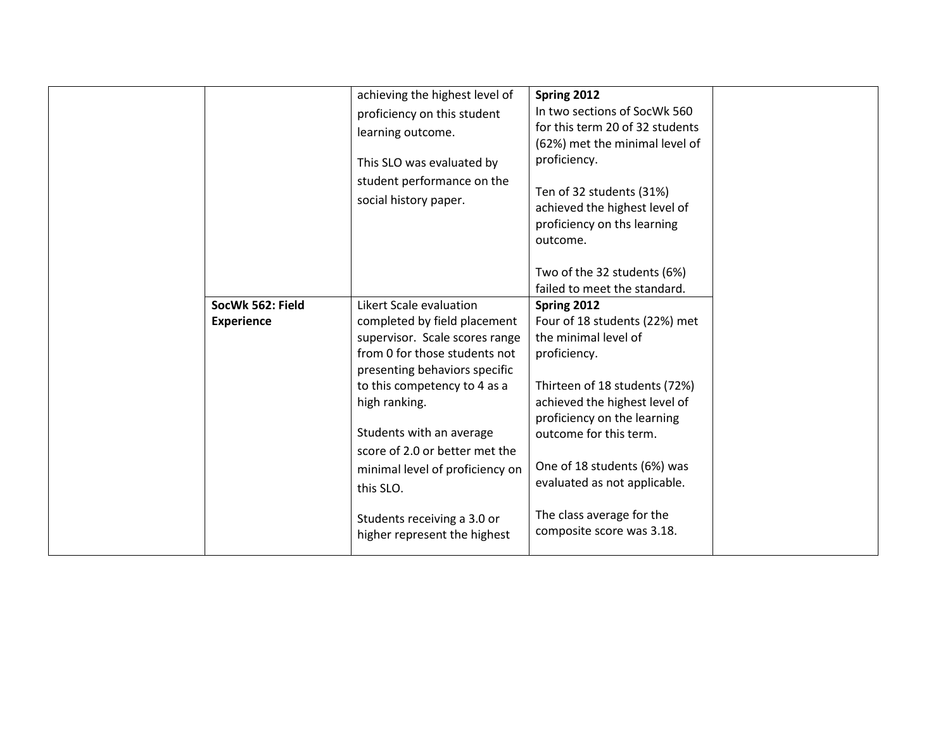|                   |                  | achieving the highest level of<br>proficiency on this student<br>learning outcome.<br>This SLO was evaluated by<br>student performance on the<br>social history paper.                                                                                                                                                                                                                    | Spring 2012<br>In two sections of SocWk 560<br>for this term 20 of 32 students<br>(62%) met the minimal level of<br>proficiency.<br>Ten of 32 students (31%)<br>achieved the highest level of<br>proficiency on ths learning<br>outcome.<br>Two of the 32 students (6%)                                                                  |  |
|-------------------|------------------|-------------------------------------------------------------------------------------------------------------------------------------------------------------------------------------------------------------------------------------------------------------------------------------------------------------------------------------------------------------------------------------------|------------------------------------------------------------------------------------------------------------------------------------------------------------------------------------------------------------------------------------------------------------------------------------------------------------------------------------------|--|
|                   |                  |                                                                                                                                                                                                                                                                                                                                                                                           | failed to meet the standard.                                                                                                                                                                                                                                                                                                             |  |
| <b>Experience</b> | SocWk 562: Field | Likert Scale evaluation<br>completed by field placement<br>supervisor. Scale scores range<br>from 0 for those students not<br>presenting behaviors specific<br>to this competency to 4 as a<br>high ranking.<br>Students with an average<br>score of 2.0 or better met the<br>minimal level of proficiency on<br>this SLO.<br>Students receiving a 3.0 or<br>higher represent the highest | Spring 2012<br>Four of 18 students (22%) met<br>the minimal level of<br>proficiency.<br>Thirteen of 18 students (72%)<br>achieved the highest level of<br>proficiency on the learning<br>outcome for this term.<br>One of 18 students (6%) was<br>evaluated as not applicable.<br>The class average for the<br>composite score was 3.18. |  |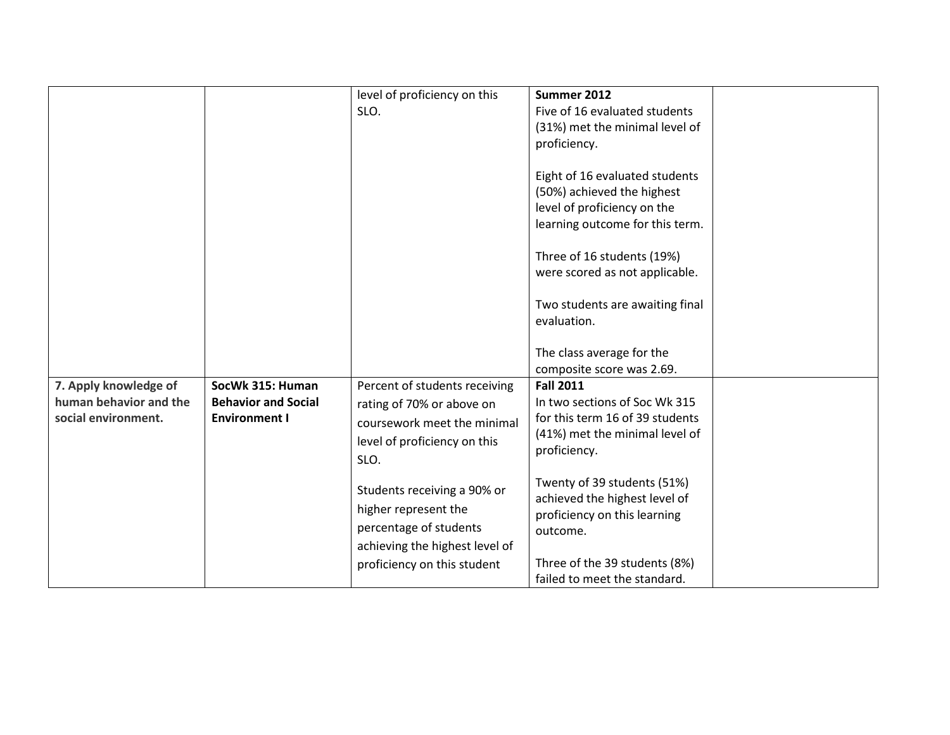|                        |                            | level of proficiency on this   | Summer 2012                     |  |
|------------------------|----------------------------|--------------------------------|---------------------------------|--|
|                        |                            | SLO.                           | Five of 16 evaluated students   |  |
|                        |                            |                                | (31%) met the minimal level of  |  |
|                        |                            |                                | proficiency.                    |  |
|                        |                            |                                |                                 |  |
|                        |                            |                                | Eight of 16 evaluated students  |  |
|                        |                            |                                | (50%) achieved the highest      |  |
|                        |                            |                                | level of proficiency on the     |  |
|                        |                            |                                |                                 |  |
|                        |                            |                                | learning outcome for this term. |  |
|                        |                            |                                | Three of 16 students (19%)      |  |
|                        |                            |                                |                                 |  |
|                        |                            |                                | were scored as not applicable.  |  |
|                        |                            |                                |                                 |  |
|                        |                            |                                | Two students are awaiting final |  |
|                        |                            |                                | evaluation.                     |  |
|                        |                            |                                |                                 |  |
|                        |                            |                                | The class average for the       |  |
|                        |                            |                                | composite score was 2.69.       |  |
| 7. Apply knowledge of  | SocWk 315: Human           | Percent of students receiving  | <b>Fall 2011</b>                |  |
| human behavior and the | <b>Behavior and Social</b> | rating of 70% or above on      | In two sections of Soc Wk 315   |  |
| social environment.    | <b>Environment I</b>       | coursework meet the minimal    | for this term 16 of 39 students |  |
|                        |                            |                                | (41%) met the minimal level of  |  |
|                        |                            | level of proficiency on this   | proficiency.                    |  |
|                        |                            | SLO.                           |                                 |  |
|                        |                            |                                | Twenty of 39 students (51%)     |  |
|                        |                            | Students receiving a 90% or    | achieved the highest level of   |  |
|                        |                            | higher represent the           | proficiency on this learning    |  |
|                        |                            | percentage of students         |                                 |  |
|                        |                            |                                | outcome.                        |  |
|                        |                            | achieving the highest level of |                                 |  |
|                        |                            | proficiency on this student    | Three of the 39 students (8%)   |  |
|                        |                            |                                | failed to meet the standard.    |  |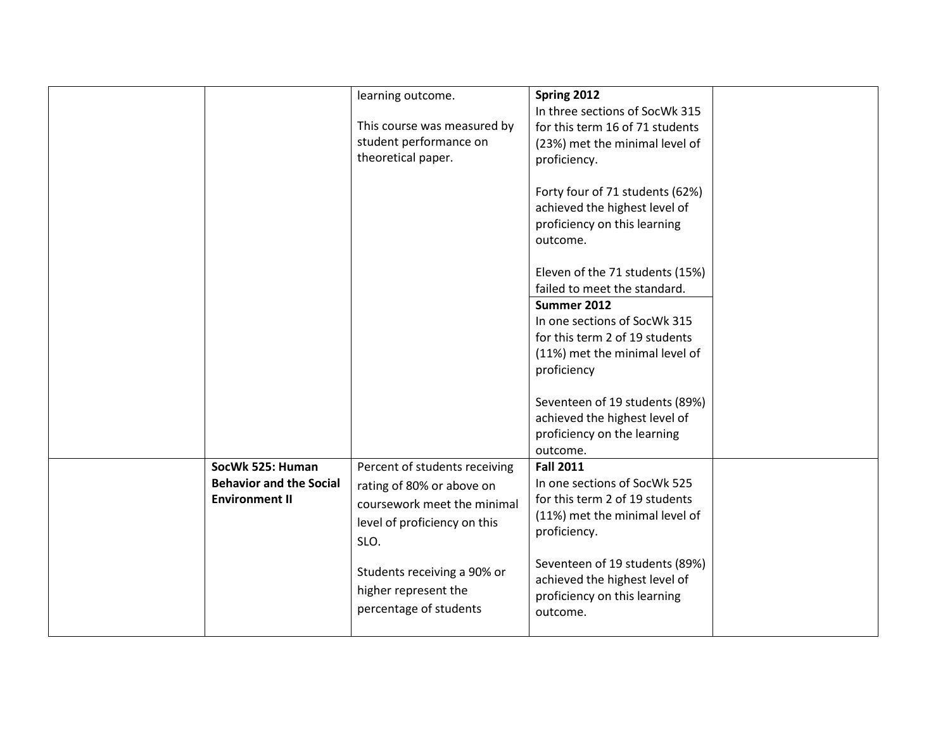|                                | learning outcome.             | Spring 2012                     |  |
|--------------------------------|-------------------------------|---------------------------------|--|
|                                |                               | In three sections of SocWk 315  |  |
|                                | This course was measured by   | for this term 16 of 71 students |  |
|                                | student performance on        | (23%) met the minimal level of  |  |
|                                | theoretical paper.            | proficiency.                    |  |
|                                |                               |                                 |  |
|                                |                               | Forty four of 71 students (62%) |  |
|                                |                               | achieved the highest level of   |  |
|                                |                               | proficiency on this learning    |  |
|                                |                               | outcome.                        |  |
|                                |                               |                                 |  |
|                                |                               | Eleven of the 71 students (15%) |  |
|                                |                               | failed to meet the standard.    |  |
|                                |                               | Summer 2012                     |  |
|                                |                               | In one sections of SocWk 315    |  |
|                                |                               | for this term 2 of 19 students  |  |
|                                |                               | (11%) met the minimal level of  |  |
|                                |                               | proficiency                     |  |
|                                |                               |                                 |  |
|                                |                               | Seventeen of 19 students (89%)  |  |
|                                |                               | achieved the highest level of   |  |
|                                |                               | proficiency on the learning     |  |
|                                |                               | outcome.                        |  |
| SocWk 525: Human               | Percent of students receiving | <b>Fall 2011</b>                |  |
| <b>Behavior and the Social</b> | rating of 80% or above on     | In one sections of SocWk 525    |  |
| <b>Environment II</b>          |                               | for this term 2 of 19 students  |  |
|                                | coursework meet the minimal   | (11%) met the minimal level of  |  |
|                                | level of proficiency on this  | proficiency.                    |  |
|                                | SLO.                          |                                 |  |
|                                |                               | Seventeen of 19 students (89%)  |  |
|                                | Students receiving a 90% or   | achieved the highest level of   |  |
|                                | higher represent the          | proficiency on this learning    |  |
|                                | percentage of students        | outcome.                        |  |
|                                |                               |                                 |  |
|                                |                               |                                 |  |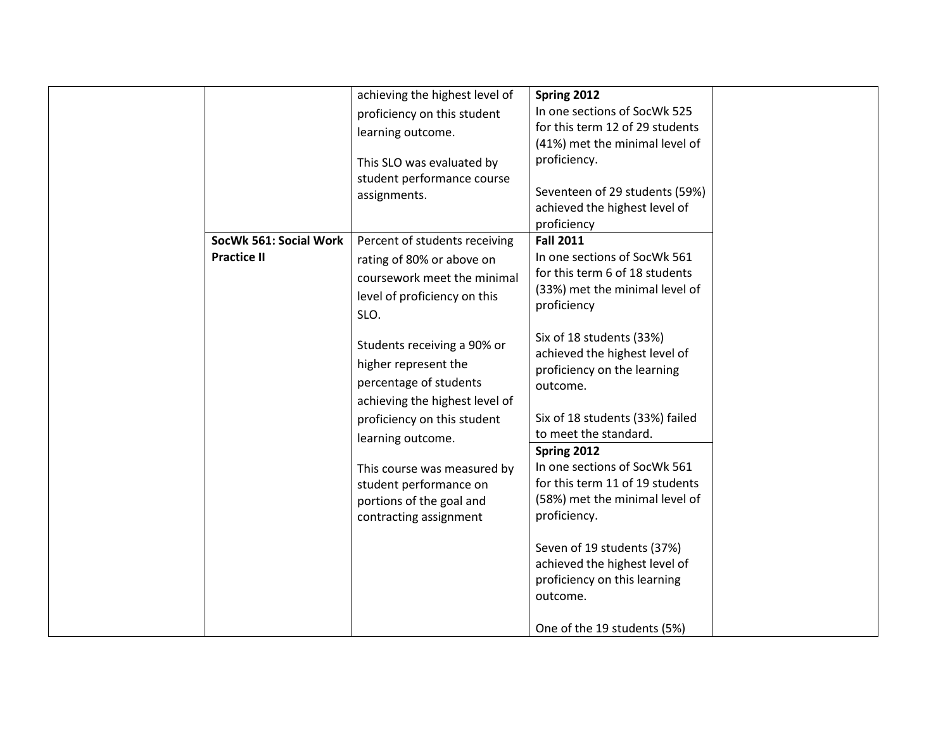|                                              | achieving the highest level of<br>proficiency on this student<br>learning outcome.<br>This SLO was evaluated by<br>student performance course<br>assignments.                                                                                                                                                                                                                                                           | Spring 2012<br>In one sections of SocWk 525<br>for this term 12 of 29 students<br>(41%) met the minimal level of<br>proficiency.<br>Seventeen of 29 students (59%)<br>achieved the highest level of<br>proficiency                                                                                                                                                                                                                                                                                                                                                                    |  |
|----------------------------------------------|-------------------------------------------------------------------------------------------------------------------------------------------------------------------------------------------------------------------------------------------------------------------------------------------------------------------------------------------------------------------------------------------------------------------------|---------------------------------------------------------------------------------------------------------------------------------------------------------------------------------------------------------------------------------------------------------------------------------------------------------------------------------------------------------------------------------------------------------------------------------------------------------------------------------------------------------------------------------------------------------------------------------------|--|
| SocWk 561: Social Work<br><b>Practice II</b> | Percent of students receiving<br>rating of 80% or above on<br>coursework meet the minimal<br>level of proficiency on this<br>SLO.<br>Students receiving a 90% or<br>higher represent the<br>percentage of students<br>achieving the highest level of<br>proficiency on this student<br>learning outcome.<br>This course was measured by<br>student performance on<br>portions of the goal and<br>contracting assignment | <b>Fall 2011</b><br>In one sections of SocWk 561<br>for this term 6 of 18 students<br>(33%) met the minimal level of<br>proficiency<br>Six of 18 students (33%)<br>achieved the highest level of<br>proficiency on the learning<br>outcome.<br>Six of 18 students (33%) failed<br>to meet the standard.<br>Spring 2012<br>In one sections of SocWk 561<br>for this term 11 of 19 students<br>(58%) met the minimal level of<br>proficiency.<br>Seven of 19 students (37%)<br>achieved the highest level of<br>proficiency on this learning<br>outcome.<br>One of the 19 students (5%) |  |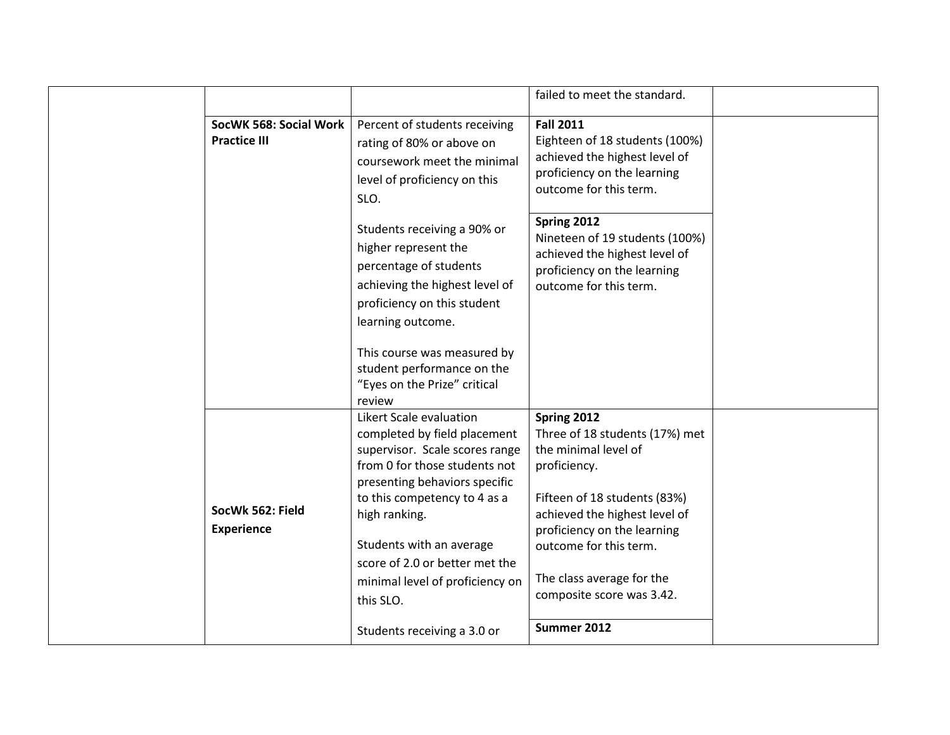|                                               |                                                                                                                                                                                                                                                                                                                                                           | failed to meet the standard.                                                                                                                                                                                                                                                             |  |
|-----------------------------------------------|-----------------------------------------------------------------------------------------------------------------------------------------------------------------------------------------------------------------------------------------------------------------------------------------------------------------------------------------------------------|------------------------------------------------------------------------------------------------------------------------------------------------------------------------------------------------------------------------------------------------------------------------------------------|--|
| SocWK 568: Social Work<br><b>Practice III</b> | Percent of students receiving<br>rating of 80% or above on<br>coursework meet the minimal<br>level of proficiency on this<br>SLO.                                                                                                                                                                                                                         | <b>Fall 2011</b><br>Eighteen of 18 students (100%)<br>achieved the highest level of<br>proficiency on the learning<br>outcome for this term.                                                                                                                                             |  |
|                                               | Students receiving a 90% or<br>higher represent the<br>percentage of students<br>achieving the highest level of<br>proficiency on this student<br>learning outcome.<br>This course was measured by<br>student performance on the<br>"Eyes on the Prize" critical<br>review                                                                                | Spring 2012<br>Nineteen of 19 students (100%)<br>achieved the highest level of<br>proficiency on the learning<br>outcome for this term.                                                                                                                                                  |  |
| SocWk 562: Field<br><b>Experience</b>         | Likert Scale evaluation<br>completed by field placement<br>supervisor. Scale scores range<br>from 0 for those students not<br>presenting behaviors specific<br>to this competency to 4 as a<br>high ranking.<br>Students with an average<br>score of 2.0 or better met the<br>minimal level of proficiency on<br>this SLO.<br>Students receiving a 3.0 or | Spring 2012<br>Three of 18 students (17%) met<br>the minimal level of<br>proficiency.<br>Fifteen of 18 students (83%)<br>achieved the highest level of<br>proficiency on the learning<br>outcome for this term.<br>The class average for the<br>composite score was 3.42.<br>Summer 2012 |  |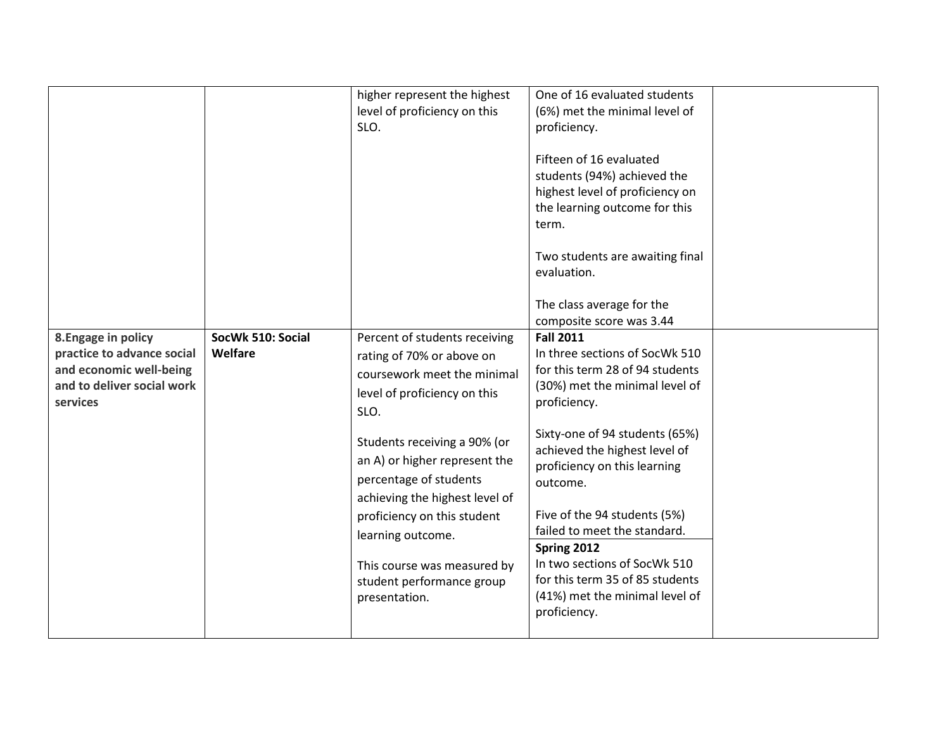|                            |                   | higher represent the highest                             | One of 16 evaluated students                   |  |
|----------------------------|-------------------|----------------------------------------------------------|------------------------------------------------|--|
|                            |                   | level of proficiency on this                             | (6%) met the minimal level of                  |  |
|                            |                   | SLO.                                                     | proficiency.                                   |  |
|                            |                   |                                                          | Fifteen of 16 evaluated                        |  |
|                            |                   |                                                          | students (94%) achieved the                    |  |
|                            |                   |                                                          | highest level of proficiency on                |  |
|                            |                   |                                                          | the learning outcome for this                  |  |
|                            |                   |                                                          | term.                                          |  |
|                            |                   |                                                          |                                                |  |
|                            |                   |                                                          | Two students are awaiting final<br>evaluation. |  |
|                            |                   |                                                          |                                                |  |
|                            |                   |                                                          | The class average for the                      |  |
|                            |                   |                                                          | composite score was 3.44                       |  |
| 8. Engage in policy        | SocWk 510: Social | Percent of students receiving                            | <b>Fall 2011</b>                               |  |
| practice to advance social | Welfare           | rating of 70% or above on                                | In three sections of SocWk 510                 |  |
| and economic well-being    |                   | coursework meet the minimal                              | for this term 28 of 94 students                |  |
| and to deliver social work |                   | level of proficiency on this                             | (30%) met the minimal level of                 |  |
| services                   |                   | SLO.                                                     | proficiency.                                   |  |
|                            |                   |                                                          | Sixty-one of 94 students (65%)                 |  |
|                            |                   | Students receiving a 90% (or                             | achieved the highest level of                  |  |
|                            |                   | an A) or higher represent the                            | proficiency on this learning                   |  |
|                            |                   | percentage of students                                   | outcome.                                       |  |
|                            |                   | achieving the highest level of                           |                                                |  |
|                            |                   | proficiency on this student                              | Five of the 94 students (5%)                   |  |
|                            |                   | learning outcome.                                        | failed to meet the standard.                   |  |
|                            |                   |                                                          | Spring 2012<br>In two sections of SocWk 510    |  |
|                            |                   | This course was measured by<br>student performance group | for this term 35 of 85 students                |  |
|                            |                   | presentation.                                            | (41%) met the minimal level of                 |  |
|                            |                   |                                                          | proficiency.                                   |  |
|                            |                   |                                                          |                                                |  |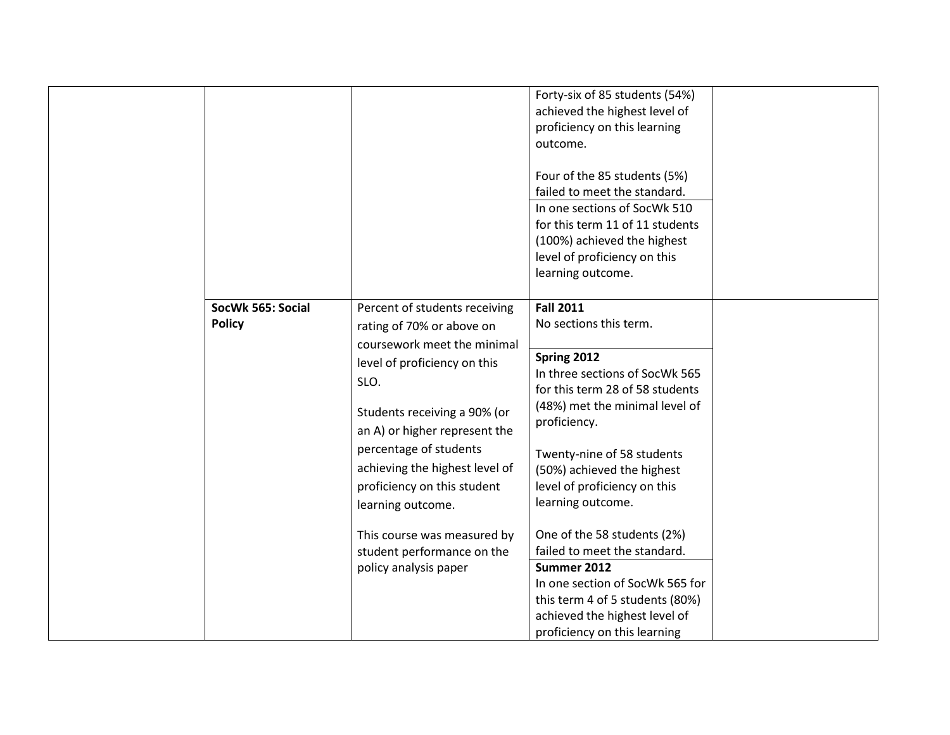|                                    |                                                                                                                                                                                                                                                                                                                                                                                                          | Forty-six of 85 students (54%)<br>achieved the highest level of<br>proficiency on this learning<br>outcome.<br>Four of the 85 students (5%)<br>failed to meet the standard.<br>In one sections of SocWk 510<br>for this term 11 of 11 students<br>(100%) achieved the highest<br>level of proficiency on this<br>learning outcome.                                                                                                                                                                                     |  |
|------------------------------------|----------------------------------------------------------------------------------------------------------------------------------------------------------------------------------------------------------------------------------------------------------------------------------------------------------------------------------------------------------------------------------------------------------|------------------------------------------------------------------------------------------------------------------------------------------------------------------------------------------------------------------------------------------------------------------------------------------------------------------------------------------------------------------------------------------------------------------------------------------------------------------------------------------------------------------------|--|
| SocWk 565: Social<br><b>Policy</b> | Percent of students receiving<br>rating of 70% or above on<br>coursework meet the minimal<br>level of proficiency on this<br>SLO.<br>Students receiving a 90% (or<br>an A) or higher represent the<br>percentage of students<br>achieving the highest level of<br>proficiency on this student<br>learning outcome.<br>This course was measured by<br>student performance on the<br>policy analysis paper | <b>Fall 2011</b><br>No sections this term.<br>Spring 2012<br>In three sections of SocWk 565<br>for this term 28 of 58 students<br>(48%) met the minimal level of<br>proficiency.<br>Twenty-nine of 58 students<br>(50%) achieved the highest<br>level of proficiency on this<br>learning outcome.<br>One of the 58 students (2%)<br>failed to meet the standard.<br>Summer 2012<br>In one section of SocWk 565 for<br>this term 4 of 5 students (80%)<br>achieved the highest level of<br>proficiency on this learning |  |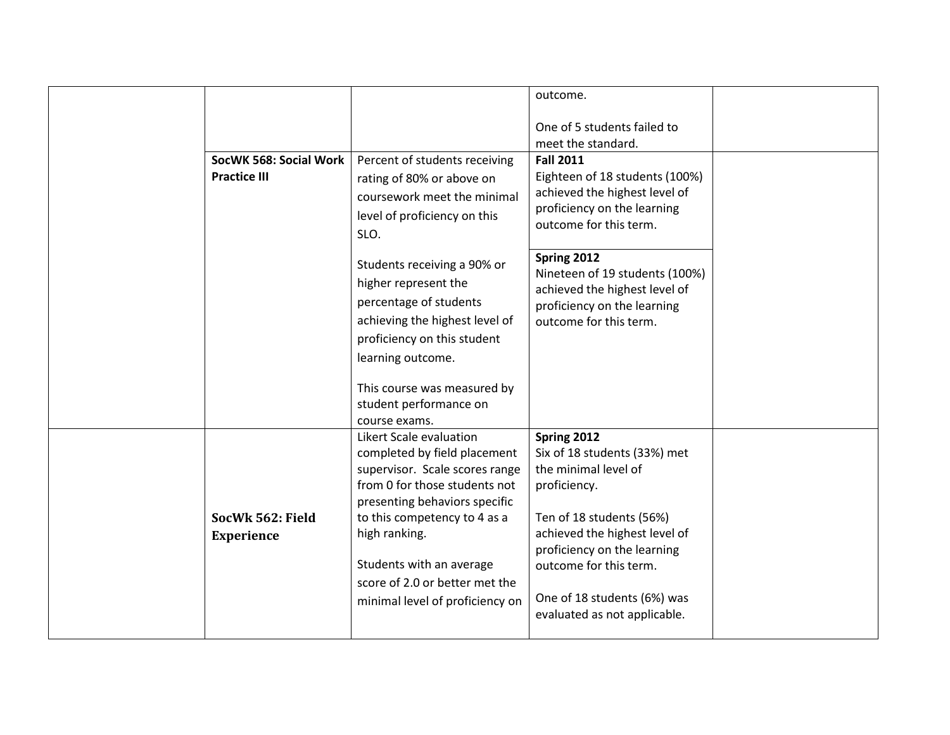|                                       |                                                                                                                                                                                                                                                                                                               | outcome.                                                                                                                                                                                                                                                                 |  |
|---------------------------------------|---------------------------------------------------------------------------------------------------------------------------------------------------------------------------------------------------------------------------------------------------------------------------------------------------------------|--------------------------------------------------------------------------------------------------------------------------------------------------------------------------------------------------------------------------------------------------------------------------|--|
|                                       |                                                                                                                                                                                                                                                                                                               | One of 5 students failed to                                                                                                                                                                                                                                              |  |
|                                       |                                                                                                                                                                                                                                                                                                               | meet the standard.                                                                                                                                                                                                                                                       |  |
| SocWK 568: Social Work                | Percent of students receiving                                                                                                                                                                                                                                                                                 | <b>Fall 2011</b>                                                                                                                                                                                                                                                         |  |
| <b>Practice III</b>                   | rating of 80% or above on<br>coursework meet the minimal<br>level of proficiency on this<br>SLO.                                                                                                                                                                                                              | Eighteen of 18 students (100%)<br>achieved the highest level of<br>proficiency on the learning<br>outcome for this term.                                                                                                                                                 |  |
|                                       | Students receiving a 90% or<br>higher represent the<br>percentage of students<br>achieving the highest level of<br>proficiency on this student<br>learning outcome.                                                                                                                                           | Spring 2012<br>Nineteen of 19 students (100%)<br>achieved the highest level of<br>proficiency on the learning<br>outcome for this term.                                                                                                                                  |  |
|                                       | This course was measured by<br>student performance on<br>course exams.                                                                                                                                                                                                                                        |                                                                                                                                                                                                                                                                          |  |
| SocWk 562: Field<br><b>Experience</b> | Likert Scale evaluation<br>completed by field placement<br>supervisor. Scale scores range<br>from 0 for those students not<br>presenting behaviors specific<br>to this competency to 4 as a<br>high ranking.<br>Students with an average<br>score of 2.0 or better met the<br>minimal level of proficiency on | Spring 2012<br>Six of 18 students (33%) met<br>the minimal level of<br>proficiency.<br>Ten of 18 students (56%)<br>achieved the highest level of<br>proficiency on the learning<br>outcome for this term.<br>One of 18 students (6%) was<br>evaluated as not applicable. |  |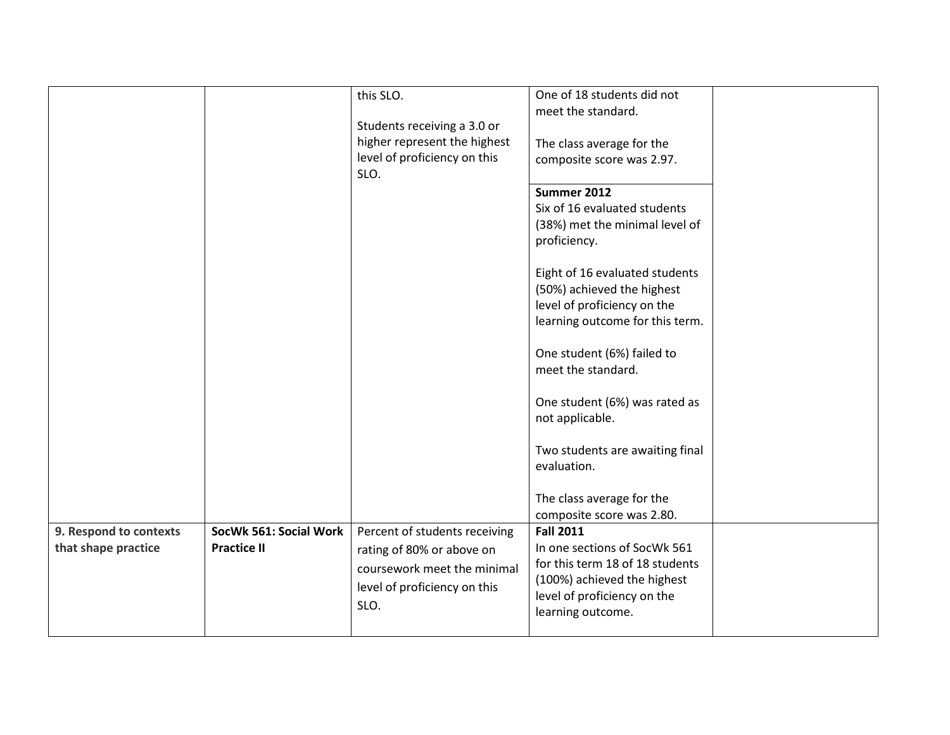|                                               |                                              | this SLO.<br>Students receiving a 3.0 or<br>higher represent the highest<br>level of proficiency on this<br>SLO.                  | One of 18 students did not<br>meet the standard.<br>The class average for the<br>composite score was 2.97.<br>Summer 2012<br>Six of 16 evaluated students<br>(38%) met the minimal level of<br>proficiency.<br>Eight of 16 evaluated students<br>(50%) achieved the highest<br>level of proficiency on the<br>learning outcome for this term.<br>One student (6%) failed to<br>meet the standard.<br>One student (6%) was rated as<br>not applicable.<br>Two students are awaiting final<br>evaluation.<br>The class average for the<br>composite score was 2.80. |  |
|-----------------------------------------------|----------------------------------------------|-----------------------------------------------------------------------------------------------------------------------------------|-------------------------------------------------------------------------------------------------------------------------------------------------------------------------------------------------------------------------------------------------------------------------------------------------------------------------------------------------------------------------------------------------------------------------------------------------------------------------------------------------------------------------------------------------------------------|--|
| 9. Respond to contexts<br>that shape practice | SocWk 561: Social Work<br><b>Practice II</b> | Percent of students receiving<br>rating of 80% or above on<br>coursework meet the minimal<br>level of proficiency on this<br>SLO. | <b>Fall 2011</b><br>In one sections of SocWk 561<br>for this term 18 of 18 students<br>(100%) achieved the highest<br>level of proficiency on the<br>learning outcome.                                                                                                                                                                                                                                                                                                                                                                                            |  |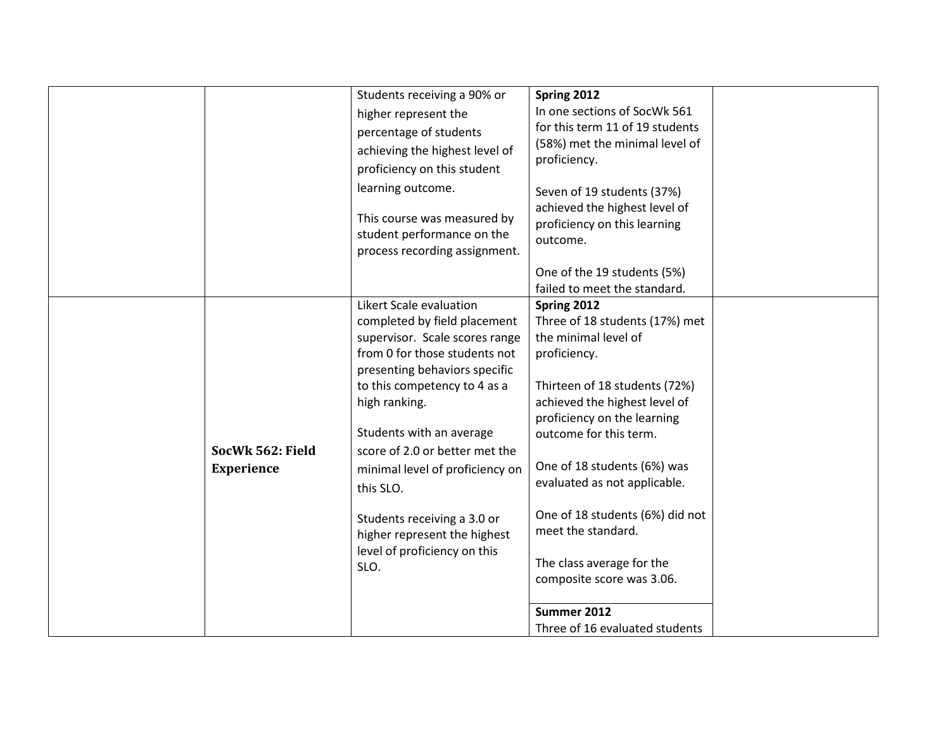|                                | Students receiving a 90% or<br>higher represent the<br>percentage of students<br>achieving the highest level of<br>proficiency on this student                                                                                                                                                                                                                                                                                    | Spring 2012<br>In one sections of SocWk 561<br>for this term 11 of 19 students<br>(58%) met the minimal level of<br>proficiency.                                                                                                                                                                                                                                                                   |  |
|--------------------------------|-----------------------------------------------------------------------------------------------------------------------------------------------------------------------------------------------------------------------------------------------------------------------------------------------------------------------------------------------------------------------------------------------------------------------------------|----------------------------------------------------------------------------------------------------------------------------------------------------------------------------------------------------------------------------------------------------------------------------------------------------------------------------------------------------------------------------------------------------|--|
|                                | learning outcome.<br>This course was measured by<br>student performance on the<br>process recording assignment.                                                                                                                                                                                                                                                                                                                   | Seven of 19 students (37%)<br>achieved the highest level of<br>proficiency on this learning<br>outcome.                                                                                                                                                                                                                                                                                            |  |
|                                |                                                                                                                                                                                                                                                                                                                                                                                                                                   | One of the 19 students (5%)<br>failed to meet the standard.                                                                                                                                                                                                                                                                                                                                        |  |
| SocWk 562: Field<br>Experience | Likert Scale evaluation<br>completed by field placement<br>supervisor. Scale scores range<br>from 0 for those students not<br>presenting behaviors specific<br>to this competency to 4 as a<br>high ranking.<br>Students with an average<br>score of 2.0 or better met the<br>minimal level of proficiency on<br>this SLO.<br>Students receiving a 3.0 or<br>higher represent the highest<br>level of proficiency on this<br>SLO. | Spring 2012<br>Three of 18 students (17%) met<br>the minimal level of<br>proficiency.<br>Thirteen of 18 students (72%)<br>achieved the highest level of<br>proficiency on the learning<br>outcome for this term.<br>One of 18 students (6%) was<br>evaluated as not applicable.<br>One of 18 students (6%) did not<br>meet the standard.<br>The class average for the<br>composite score was 3.06. |  |
|                                |                                                                                                                                                                                                                                                                                                                                                                                                                                   | Summer 2012<br>Three of 16 evaluated students                                                                                                                                                                                                                                                                                                                                                      |  |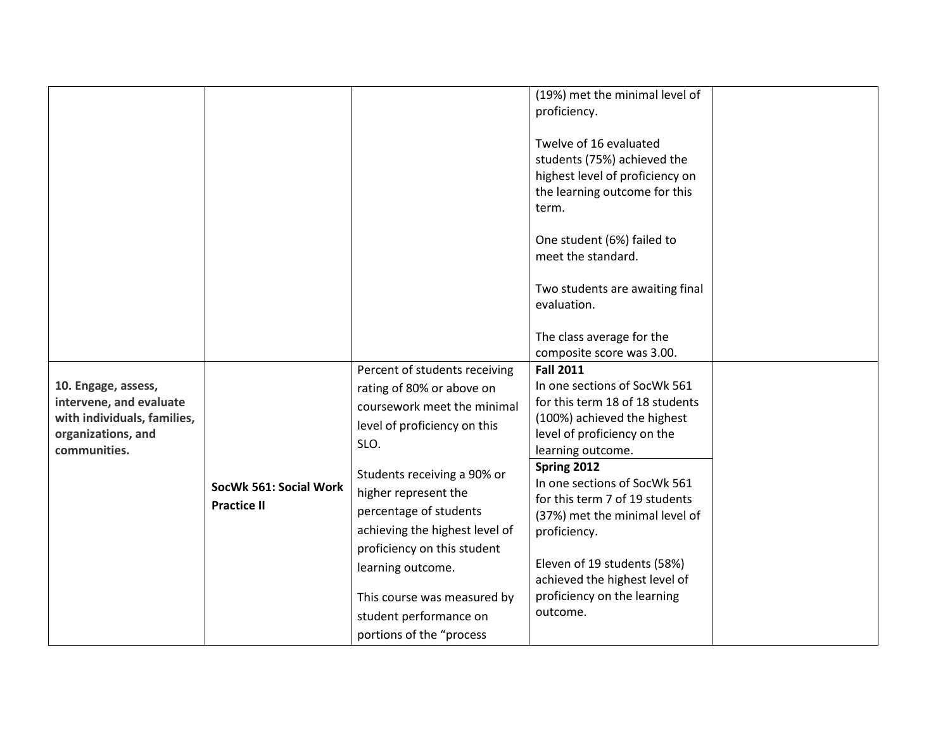|                                                                                                                     |                        |                                                                                                                                                                  | (19%) met the minimal level of<br>proficiency.<br>Twelve of 16 evaluated<br>students (75%) achieved the<br>highest level of proficiency on<br>the learning outcome for this<br>term.<br>One student (6%) failed to<br>meet the standard.<br>Two students are awaiting final<br>evaluation. |  |
|---------------------------------------------------------------------------------------------------------------------|------------------------|------------------------------------------------------------------------------------------------------------------------------------------------------------------|--------------------------------------------------------------------------------------------------------------------------------------------------------------------------------------------------------------------------------------------------------------------------------------------|--|
|                                                                                                                     |                        |                                                                                                                                                                  | The class average for the<br>composite score was 3.00.                                                                                                                                                                                                                                     |  |
| 10. Engage, assess,<br>intervene, and evaluate<br>with individuals, families,<br>organizations, and<br>communities. | SocWk 561: Social Work | Percent of students receiving<br>rating of 80% or above on<br>coursework meet the minimal<br>level of proficiency on this<br>SLO.<br>Students receiving a 90% or | <b>Fall 2011</b><br>In one sections of SocWk 561<br>for this term 18 of 18 students<br>(100%) achieved the highest<br>level of proficiency on the<br>learning outcome.<br>Spring 2012<br>In one sections of SocWk 561                                                                      |  |
|                                                                                                                     | <b>Practice II</b>     | higher represent the<br>percentage of students<br>achieving the highest level of<br>proficiency on this student<br>learning outcome.                             | for this term 7 of 19 students<br>(37%) met the minimal level of<br>proficiency.<br>Eleven of 19 students (58%)<br>achieved the highest level of                                                                                                                                           |  |
|                                                                                                                     |                        | This course was measured by<br>student performance on<br>portions of the "process                                                                                | proficiency on the learning<br>outcome.                                                                                                                                                                                                                                                    |  |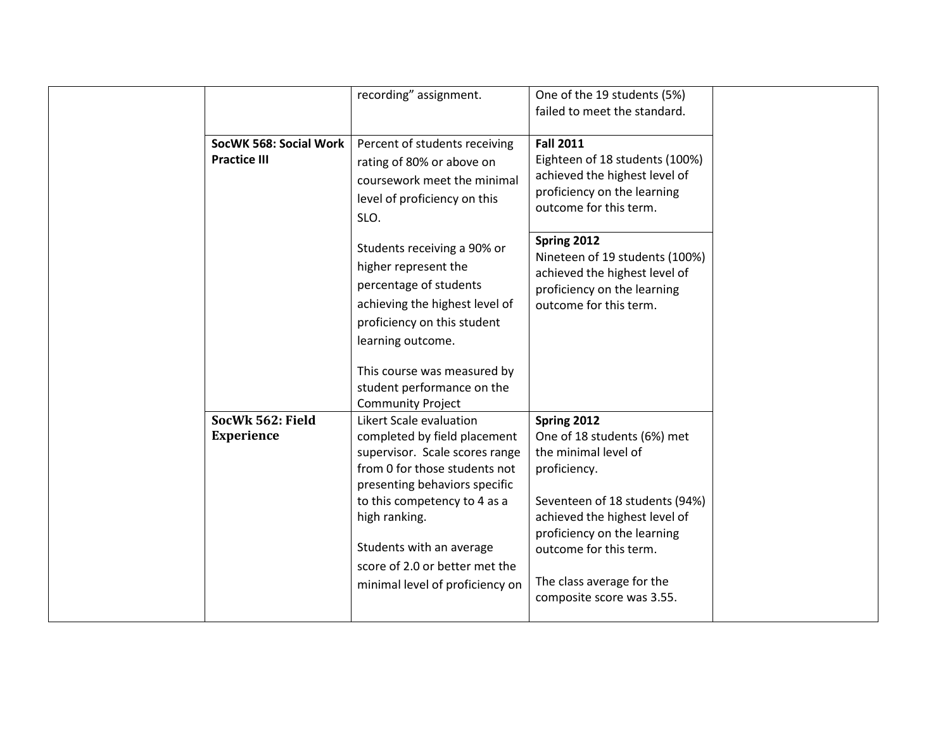|                                               | recording" assignment.                                                                                                                                                                                                                                                                                        | One of the 19 students (5%)                                                                                                                                                                                                                                                             |  |
|-----------------------------------------------|---------------------------------------------------------------------------------------------------------------------------------------------------------------------------------------------------------------------------------------------------------------------------------------------------------------|-----------------------------------------------------------------------------------------------------------------------------------------------------------------------------------------------------------------------------------------------------------------------------------------|--|
|                                               |                                                                                                                                                                                                                                                                                                               | failed to meet the standard.                                                                                                                                                                                                                                                            |  |
| SocWK 568: Social Work<br><b>Practice III</b> | Percent of students receiving<br>rating of 80% or above on<br>coursework meet the minimal<br>level of proficiency on this<br>SLO.<br>Students receiving a 90% or<br>higher represent the<br>percentage of students<br>achieving the highest level of<br>proficiency on this student<br>learning outcome.      | <b>Fall 2011</b><br>Eighteen of 18 students (100%)<br>achieved the highest level of<br>proficiency on the learning<br>outcome for this term.<br>Spring 2012<br>Nineteen of 19 students (100%)<br>achieved the highest level of<br>proficiency on the learning<br>outcome for this term. |  |
|                                               | This course was measured by<br>student performance on the<br><b>Community Project</b>                                                                                                                                                                                                                         |                                                                                                                                                                                                                                                                                         |  |
| SocWk 562: Field<br><b>Experience</b>         | Likert Scale evaluation<br>completed by field placement<br>supervisor. Scale scores range<br>from 0 for those students not<br>presenting behaviors specific<br>to this competency to 4 as a<br>high ranking.<br>Students with an average<br>score of 2.0 or better met the<br>minimal level of proficiency on | Spring 2012<br>One of 18 students (6%) met<br>the minimal level of<br>proficiency.<br>Seventeen of 18 students (94%)<br>achieved the highest level of<br>proficiency on the learning<br>outcome for this term.<br>The class average for the<br>composite score was 3.55.                |  |